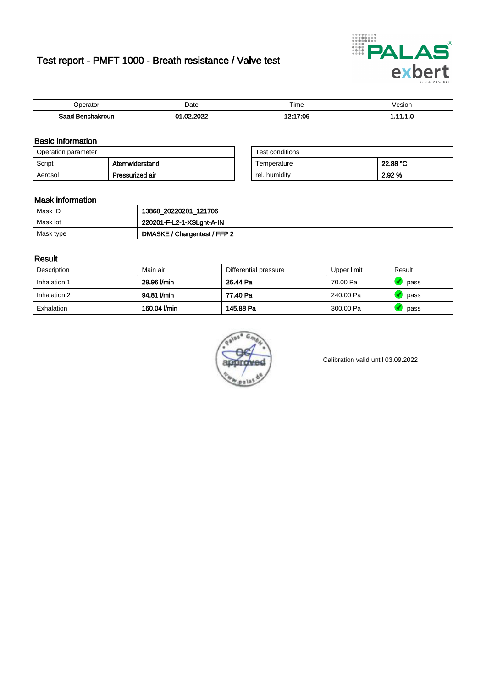# Test report - PMFT 1000 - Breath resistance / Valve test



| <i>v</i> oerator         | Date      | $- \cdot$<br>Time | /esion |
|--------------------------|-----------|-------------------|--------|
| Saad<br>าchakroun<br>. . | 000<br>00 | 12:17:06          | .      |

### Basic information

| Operation parameter |                 | Test conditions |          |
|---------------------|-----------------|-----------------|----------|
| Script              | Atemwiderstand  | Temperature     | 22.88 °C |
| Aerosol             | Pressurized air | rel. humidity   | 2.92 %   |

| Test conditions |          |
|-----------------|----------|
| Temperature     | 22.88 °C |
| rel. humidity   | 2.92%    |

#### Mask information

| Mask ID   | 13868_20220201_121706        |
|-----------|------------------------------|
| Mask lot  | 220201-F-L2-1-XSLght-A-IN    |
| Mask type | DMASKE / Chargentest / FFP 2 |

### Result

| Description  | Main air     | Differential pressure | Upper limit | Result |
|--------------|--------------|-----------------------|-------------|--------|
| Inhalation 1 | 29.96 l/min  | 26.44 Pa              | 70.00 Pa    | pass   |
| Inhalation 2 | 94.81 I/min  | 77.40 Pa              | 240.00 Pa   | pass   |
| Exhalation   | 160.04 l/min | 145.88 Pa             | 300.00 Pa   | pass   |



Calibration valid until 03.09.2022